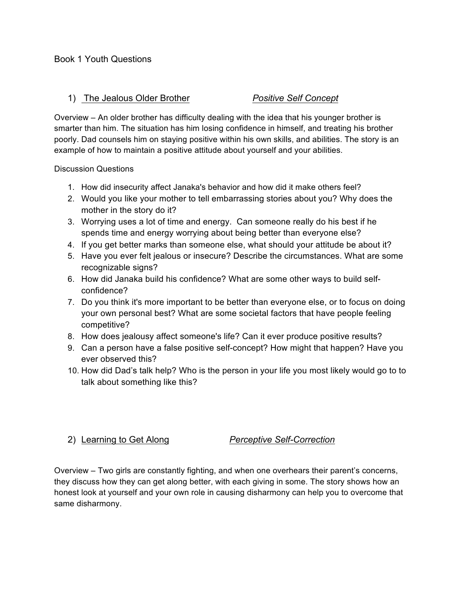### 1) The Jealous Older Brother *Positive Self Concept*

Overview – An older brother has difficulty dealing with the idea that his younger brother is smarter than him. The situation has him losing confidence in himself, and treating his brother poorly. Dad counsels him on staying positive within his own skills, and abilities. The story is an example of how to maintain a positive attitude about yourself and your abilities.

Discussion Questions

- 1. How did insecurity affect Janaka's behavior and how did it make others feel?
- 2. Would you like your mother to tell embarrassing stories about you? Why does the mother in the story do it?
- 3. Worrying uses a lot of time and energy. Can someone really do his best if he spends time and energy worrying about being better than everyone else?
- 4. If you get better marks than someone else, what should your attitude be about it?
- 5. Have you ever felt jealous or insecure? Describe the circumstances. What are some recognizable signs?
- 6. How did Janaka build his confidence? What are some other ways to build selfconfidence?
- 7. Do you think it's more important to be better than everyone else, or to focus on doing your own personal best? What are some societal factors that have people feeling competitive?
- 8. How does jealousy affect someone's life? Can it ever produce positive results?
- 9. Can a person have a false positive self-concept? How might that happen? Have you ever observed this?
- 10. How did Dad's talk help? Who is the person in your life you most likely would go to to talk about something like this?

## 2) Learning to Get Along *Perceptive Self-Correction*

Overview – Two girls are constantly fighting, and when one overhears their parent's concerns, they discuss how they can get along better, with each giving in some. The story shows how an honest look at yourself and your own role in causing disharmony can help you to overcome that same disharmony.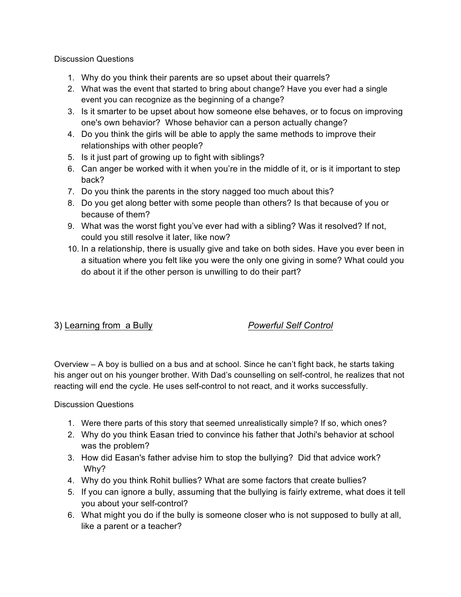Discussion Questions

- 1. Why do you think their parents are so upset about their quarrels?
- 2. What was the event that started to bring about change? Have you ever had a single event you can recognize as the beginning of a change?
- 3. Is it smarter to be upset about how someone else behaves, or to focus on improving one's own behavior? Whose behavior can a person actually change?
- 4. Do you think the girls will be able to apply the same methods to improve their relationships with other people?
- 5. Is it just part of growing up to fight with siblings?
- 6. Can anger be worked with it when you're in the middle of it, or is it important to step back?
- 7. Do you think the parents in the story nagged too much about this?
- 8. Do you get along better with some people than others? Is that because of you or because of them?
- 9. What was the worst fight you've ever had with a sibling? Was it resolved? If not, could you still resolve it later, like now?
- 10. In a relationship, there is usually give and take on both sides. Have you ever been in a situation where you felt like you were the only one giving in some? What could you do about it if the other person is unwilling to do their part?

# 3) Learning from a Bully *Powerful Self Control*

Overview – A boy is bullied on a bus and at school. Since he can't fight back, he starts taking his anger out on his younger brother. With Dad's counselling on self-control, he realizes that not reacting will end the cycle. He uses self-control to not react, and it works successfully.

- 1. Were there parts of this story that seemed unrealistically simple? If so, which ones?
- 2. Why do you think Easan tried to convince his father that Jothi's behavior at school was the problem?
- 3. How did Easan's father advise him to stop the bullying? Did that advice work? Why?
- 4. Why do you think Rohit bullies? What are some factors that create bullies?
- 5. If you can ignore a bully, assuming that the bullying is fairly extreme, what does it tell you about your self-control?
- 6. What might you do if the bully is someone closer who is not supposed to bully at all, like a parent or a teacher?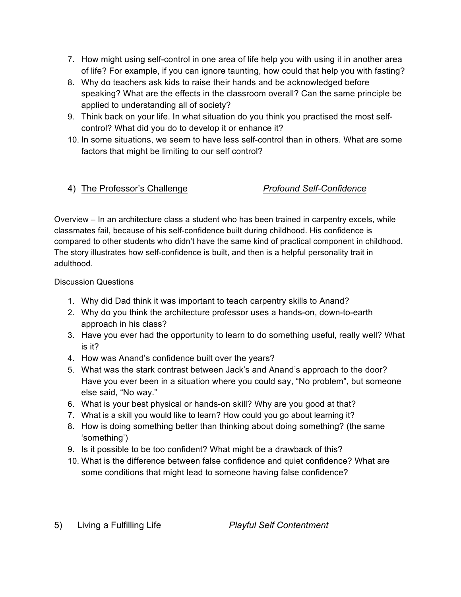- 7. How might using self-control in one area of life help you with using it in another area of life? For example, if you can ignore taunting, how could that help you with fasting?
- 8. Why do teachers ask kids to raise their hands and be acknowledged before speaking? What are the effects in the classroom overall? Can the same principle be applied to understanding all of society?
- 9. Think back on your life. In what situation do you think you practised the most selfcontrol? What did you do to develop it or enhance it?
- 10. In some situations, we seem to have less self-control than in others. What are some factors that might be limiting to our self control?

# 4) The Professor's Challenge *Profound Self-Confidence*

Overview – In an architecture class a student who has been trained in carpentry excels, while classmates fail, because of his self-confidence built during childhood. His confidence is compared to other students who didn't have the same kind of practical component in childhood. The story illustrates how self-confidence is built, and then is a helpful personality trait in adulthood.

## Discussion Questions

- 1. Why did Dad think it was important to teach carpentry skills to Anand?
- 2. Why do you think the architecture professor uses a hands-on, down-to-earth approach in his class?
- 3. Have you ever had the opportunity to learn to do something useful, really well? What is it?
- 4. How was Anand's confidence built over the years?
- 5. What was the stark contrast between Jack's and Anand's approach to the door? Have you ever been in a situation where you could say, "No problem", but someone else said, "No way."
- 6. What is your best physical or hands-on skill? Why are you good at that?
- 7. What is a skill you would like to learn? How could you go about learning it?
- 8. How is doing something better than thinking about doing something? (the same 'something')
- 9. Is it possible to be too confident? What might be a drawback of this?
- 10. What is the difference between false confidence and quiet confidence? What are some conditions that might lead to someone having false confidence?

5) Living a Fulfilling Life *Playful Self Contentment*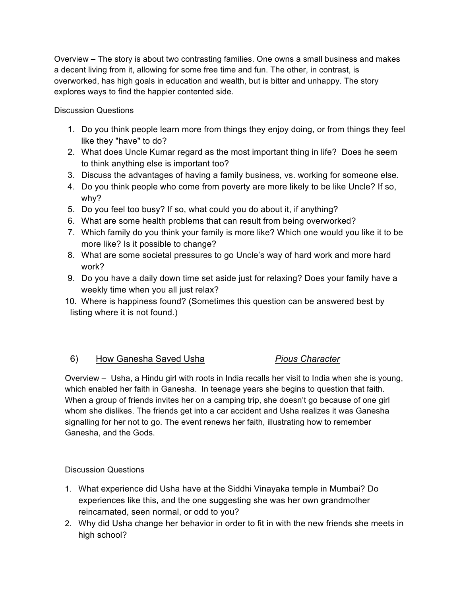Overview – The story is about two contrasting families. One owns a small business and makes a decent living from it, allowing for some free time and fun. The other, in contrast, is overworked, has high goals in education and wealth, but is bitter and unhappy. The story explores ways to find the happier contented side.

Discussion Questions

- 1. Do you think people learn more from things they enjoy doing, or from things they feel like they "have" to do?
- 2. What does Uncle Kumar regard as the most important thing in life? Does he seem to think anything else is important too?
- 3. Discuss the advantages of having a family business, vs. working for someone else.
- 4. Do you think people who come from poverty are more likely to be like Uncle? If so, why?
- 5. Do you feel too busy? If so, what could you do about it, if anything?
- 6. What are some health problems that can result from being overworked?
- 7. Which family do you think your family is more like? Which one would you like it to be more like? Is it possible to change?
- 8. What are some societal pressures to go Uncle's way of hard work and more hard work?
- 9. Do you have a daily down time set aside just for relaxing? Does your family have a weekly time when you all just relax?
- 10. Where is happiness found? (Sometimes this question can be answered best by listing where it is not found.)

# 6) How Ganesha Saved Usha *Pious Character*

Overview – Usha, a Hindu girl with roots in India recalls her visit to India when she is young, which enabled her faith in Ganesha. In teenage years she begins to question that faith. When a group of friends invites her on a camping trip, she doesn't go because of one girl whom she dislikes. The friends get into a car accident and Usha realizes it was Ganesha signalling for her not to go. The event renews her faith, illustrating how to remember Ganesha, and the Gods.

- 1. What experience did Usha have at the Siddhi Vinayaka temple in Mumbai? Do experiences like this, and the one suggesting she was her own grandmother reincarnated, seen normal, or odd to you?
- 2. Why did Usha change her behavior in order to fit in with the new friends she meets in high school?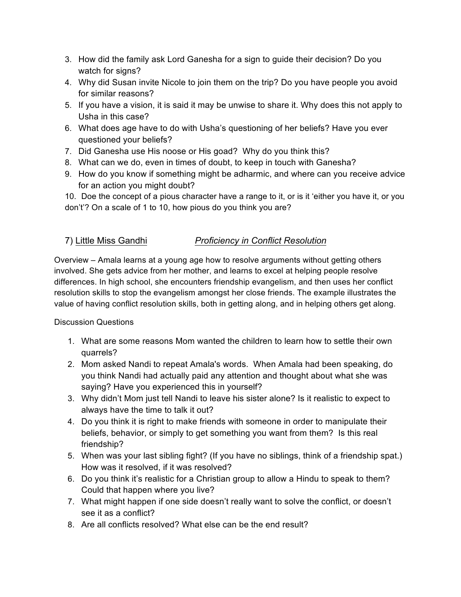- 3. How did the family ask Lord Ganesha for a sign to guide their decision? Do you watch for signs?
- 4. Why did Susan invite Nicole to join them on the trip? Do you have people you avoid for similar reasons?
- 5. If you have a vision, it is said it may be unwise to share it. Why does this not apply to Usha in this case?
- 6. What does age have to do with Usha's questioning of her beliefs? Have you ever questioned your beliefs?
- 7. Did Ganesha use His noose or His goad? Why do you think this?
- 8. What can we do, even in times of doubt, to keep in touch with Ganesha?
- 9. How do you know if something might be adharmic, and where can you receive advice for an action you might doubt?

10. Doe the concept of a pious character have a range to it, or is it 'either you have it, or you don't'? On a scale of 1 to 10, how pious do you think you are?

# 7) Little Miss Gandhi *Proficiency in Conflict Resolution*

Overview – Amala learns at a young age how to resolve arguments without getting others involved. She gets advice from her mother, and learns to excel at helping people resolve differences. In high school, she encounters friendship evangelism, and then uses her conflict resolution skills to stop the evangelism amongst her close friends. The example illustrates the value of having conflict resolution skills, both in getting along, and in helping others get along.

- 1. What are some reasons Mom wanted the children to learn how to settle their own quarrels?
- 2. Mom asked Nandi to repeat Amala's words. When Amala had been speaking, do you think Nandi had actually paid any attention and thought about what she was saying? Have you experienced this in yourself?
- 3. Why didn't Mom just tell Nandi to leave his sister alone? Is it realistic to expect to always have the time to talk it out?
- 4. Do you think it is right to make friends with someone in order to manipulate their beliefs, behavior, or simply to get something you want from them? Is this real friendship?
- 5. When was your last sibling fight? (If you have no siblings, think of a friendship spat.) How was it resolved, if it was resolved?
- 6. Do you think it's realistic for a Christian group to allow a Hindu to speak to them? Could that happen where you live?
- 7. What might happen if one side doesn't really want to solve the conflict, or doesn't see it as a conflict?
- 8. Are all conflicts resolved? What else can be the end result?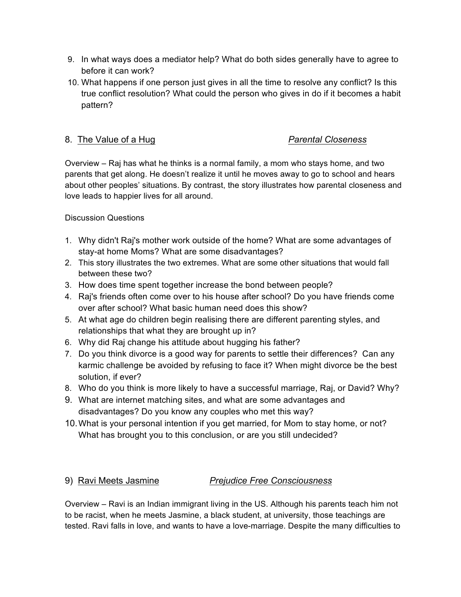- 9. In what ways does a mediator help? What do both sides generally have to agree to before it can work?
- 10. What happens if one person just gives in all the time to resolve any conflict? Is this true conflict resolution? What could the person who gives in do if it becomes a habit pattern?

# 8. The Value of a Hug *Parental Closeness*

Overview – Raj has what he thinks is a normal family, a mom who stays home, and two parents that get along. He doesn't realize it until he moves away to go to school and hears about other peoples' situations. By contrast, the story illustrates how parental closeness and love leads to happier lives for all around.

## Discussion Questions

- 1. Why didn't Raj's mother work outside of the home? What are some advantages of stay-at home Moms? What are some disadvantages?
- 2. This story illustrates the two extremes. What are some other situations that would fall between these two?
- 3. How does time spent together increase the bond between people?
- 4. Raj's friends often come over to his house after school? Do you have friends come over after school? What basic human need does this show?
- 5. At what age do children begin realising there are different parenting styles, and relationships that what they are brought up in?
- 6. Why did Raj change his attitude about hugging his father?
- 7. Do you think divorce is a good way for parents to settle their differences? Can any karmic challenge be avoided by refusing to face it? When might divorce be the best solution, if ever?
- 8. Who do you think is more likely to have a successful marriage, Raj, or David? Why?
- 9. What are internet matching sites, and what are some advantages and disadvantages? Do you know any couples who met this way?
- 10.What is your personal intention if you get married, for Mom to stay home, or not? What has brought you to this conclusion, or are you still undecided?

## 9) Ravi Meets Jasmine *Prejudice Free Consciousness*

Overview – Ravi is an Indian immigrant living in the US. Although his parents teach him not to be racist, when he meets Jasmine, a black student, at university, those teachings are tested. Ravi falls in love, and wants to have a love-marriage. Despite the many difficulties to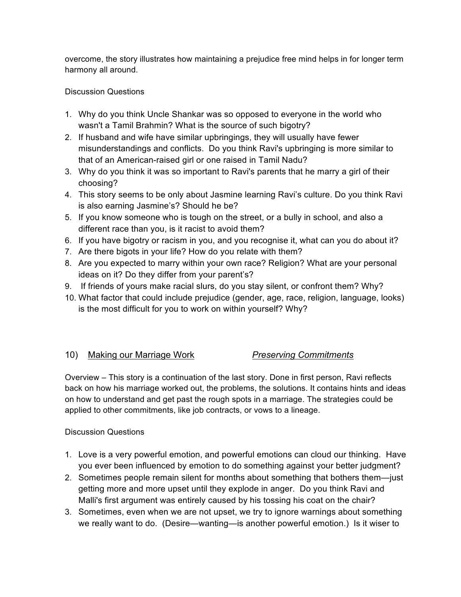overcome, the story illustrates how maintaining a prejudice free mind helps in for longer term harmony all around.

## Discussion Questions

- 1. Why do you think Uncle Shankar was so opposed to everyone in the world who wasn't a Tamil Brahmin? What is the source of such bigotry?
- 2. If husband and wife have similar upbringings, they will usually have fewer misunderstandings and conflicts. Do you think Ravi's upbringing is more similar to that of an American-raised girl or one raised in Tamil Nadu?
- 3. Why do you think it was so important to Ravi's parents that he marry a girl of their choosing?
- 4. This story seems to be only about Jasmine learning Ravi's culture. Do you think Ravi is also earning Jasmine's? Should he be?
- 5. If you know someone who is tough on the street, or a bully in school, and also a different race than you, is it racist to avoid them?
- 6. If you have bigotry or racism in you, and you recognise it, what can you do about it?
- 7. Are there bigots in your life? How do you relate with them?
- 8. Are you expected to marry within your own race? Religion? What are your personal ideas on it? Do they differ from your parent's?
- 9. If friends of yours make racial slurs, do you stay silent, or confront them? Why?
- 10. What factor that could include prejudice (gender, age, race, religion, language, looks) is the most difficult for you to work on within yourself? Why?

## 10) Making our Marriage Work *Preserving Commitments*

Overview – This story is a continuation of the last story. Done in first person, Ravi reflects back on how his marriage worked out, the problems, the solutions. It contains hints and ideas on how to understand and get past the rough spots in a marriage. The strategies could be applied to other commitments, like job contracts, or vows to a lineage.

- 1. Love is a very powerful emotion, and powerful emotions can cloud our thinking. Have you ever been influenced by emotion to do something against your better judgment?
- 2. Sometimes people remain silent for months about something that bothers them—just getting more and more upset until they explode in anger. Do you think Ravi and Malli's first argument was entirely caused by his tossing his coat on the chair?
- 3. Sometimes, even when we are not upset, we try to ignore warnings about something we really want to do. (Desire—wanting—is another powerful emotion.) Is it wiser to